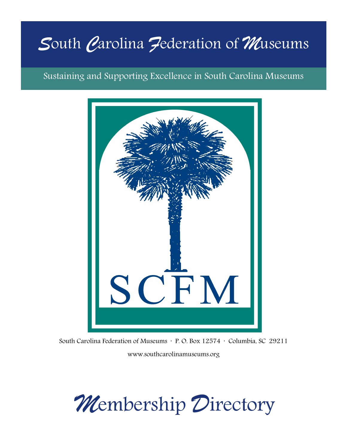# *S*outh *C*arolina *F*ederation of *M*useums

Sustaining and Supporting Excellence in South Carolina Museums



South Carolina Federation of Museums · P. O. Box 12574 · Columbia, SC 29211 www.southcarolinamuseums.org

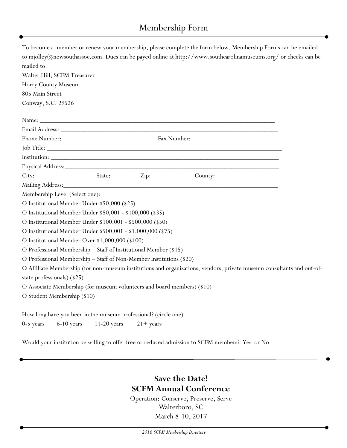# Membership Form

| To become a member or renew your membership, please complete the form below. Membership Forms can be emailed           |
|------------------------------------------------------------------------------------------------------------------------|
| to mjolley@newsouthassoc.com. Dues can be payed online at http://www.southcarolinamuseums.org/ or checks can be        |
| mailed to:                                                                                                             |
| Walter Hill, SCFM Treasurer                                                                                            |
| Horry County Museum                                                                                                    |
| 805 Main Street                                                                                                        |
| Conway, S.C. 29526                                                                                                     |
|                                                                                                                        |
|                                                                                                                        |
|                                                                                                                        |
|                                                                                                                        |
|                                                                                                                        |
|                                                                                                                        |
|                                                                                                                        |
|                                                                                                                        |
| Membership Level (Select one):                                                                                         |
| O Institutional Member Under \$50,000 (\$25)                                                                           |
| O Institutional Member Under \$50,001 - \$100,000 (\$35)                                                               |
| O Institutional Member Under \$100,001 - \$500,000 (\$50)                                                              |
| O Institutional Member Under \$500,001 - \$1,000,000 (\$75)                                                            |
| O Institutional Member Over \$1,000,000 (\$100)                                                                        |
| O Professional Membership - Staff of Institutional Member (\$15)                                                       |
| O Professional Membership - Staff of Non-Member Institutions (\$20)                                                    |
| O Affiliate Membership (for non-museum institutions and organizations, vendors, private museum consultants and out-of- |
| state professionals) (\$25)                                                                                            |
| O Associate Membership (for museum volunteers and board members) (\$10)                                                |
| O Student Membership (\$10)                                                                                            |
| How long have you been in the museum professional? (circle one)                                                        |
| $6-10$ years $11-20$ years<br>0-5 years<br>$21 + years$                                                                |
|                                                                                                                        |

Would your institution be willing to offer free or reduced admission to SCFM members? Yes or No

# **Save the Date! SCFM Annual Conference**

Operation: Conserve, Preserve, Serve Walterboro, SC March 8-10, 2017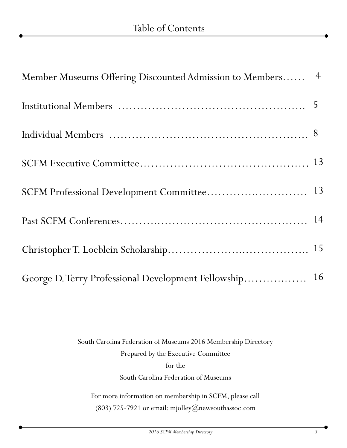| Member Museums Offering Discounted Admission to Members 4 |  |
|-----------------------------------------------------------|--|
|                                                           |  |
|                                                           |  |
|                                                           |  |
|                                                           |  |
|                                                           |  |
|                                                           |  |
| George D. Terry Professional Development Fellowship 16    |  |

South Carolina Federation of Museums 2016 Membership Directory Prepared by the Executive Committee for the South Carolina Federation of Museums For more information on membership in SCFM, please call

(803) 725-7921 or email: mjolley@newsouthassoc.com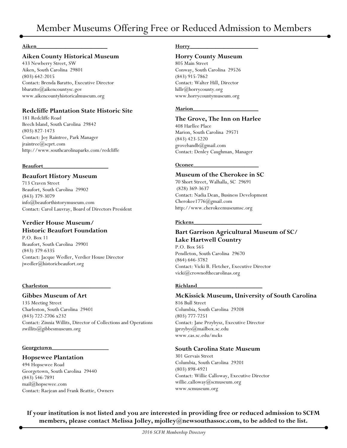#### **Aiken\_\_\_\_\_\_\_\_\_\_\_\_\_\_\_\_\_\_\_\_\_\_\_\_\_**

#### **Aiken County Historical Museum**

433 Newberry Street, SW Aiken, South Carolina 29801 (803) 642-2015 Contact: Brenda Baratto, Executive Director bbaratto@aikencountysc.gov [www.aikencountyhistoricalmuseum.org](http://www.aikencountyhistoricalmuseum.org)

#### **Redcliffe Plantation State Historic Site**

181 Redcliffe Road Beech Island, South Carolina 29842 (803) 827-1473 Contact: Joy Raintree, Park Manager jraintree@scprt.com http://www.southcarolinaparks.com/redcliffe

#### **Beaufort\_\_\_\_\_\_\_\_\_\_\_\_\_\_\_\_\_\_\_\_\_\_\_**

#### **Beaufort History Museum**

713 Craven Street Beaufort, South Carolina 29902 (843) 379-3079 info@beauforthistorymuseum.com Contact: Carol Lauvray, Board of Directors President

# **Verdier House Museum/**

# **Historic Beaufort Foundation**

P.O. Box 11 Beaufort, South Carolina 29901 (843) 379-6335 Contact: Jacque Wedler, Verdier House Director jwedler@historicbeaufort.org

#### **Charleston\_\_\_\_\_\_\_\_\_\_\_\_\_\_\_\_\_\_\_\_\_\_**

#### **Gibbes Museum of Art**

135 Meeting Street Charleston, South Carolina 29401 (843) 722-2706 x232 Contact: Zinnia Willits, Director of Collections and Operations zwillits@gibbesmuseum.org

#### **Georgetown\_\_\_\_\_\_\_\_\_\_\_\_\_\_\_\_\_\_\_\_**

#### **Hopsewee Plantation**

494 Hopsewee Road Georgetown, South Carolina 29440 (843) 546-7891 mail@hopsewee.com Contact: Raejean and Frank Beattie, Owners

#### **Horry\_\_\_\_\_\_\_\_\_\_\_\_\_\_\_\_\_\_\_\_\_\_\_\_**

#### **Horry County Museum**

805 Main Street Conway, South Carolina 29526 (843) 915-7862 Contact: Walter Hill, Director hillr@horrycounty.org www.horrycountymuseum.org

#### **Marion\_\_\_\_\_\_\_\_\_\_\_\_\_\_\_\_\_\_\_\_\_\_\_**

#### **The Grove, The Inn on Harlee**

408 Harllee Place Marion, South Carolina 29571 (843) 423-5220 grovebandb@gmail.com Contact: Denley Caughman, Manager

#### **Oconee\_\_\_\_\_\_\_\_\_\_\_\_\_\_\_\_\_\_\_\_\_\_\_**

#### **Museum of the Cherokee in SC**

70 Short Street, Walhalla, SC 29691 (828) 369-3637 Contact: Nadia Dean, Business Development Cherokee1776@gmail.com http://www.cherokeemuseumsc.org

#### **Pickens\_\_\_\_\_\_\_\_\_\_\_\_\_\_\_\_\_\_\_\_\_\_\_\_**

#### **Bart Garrison Agricultural Museum of SC/ Lake Hartwell Country**

P.O. Box 565 Pendleton, South Carolina 29670 (864) 646-3782 Contact: Vicki B. Fletcher, Executive Director vicki@crownofthecarolinas.org

#### **Richland\_\_\_\_\_\_\_\_\_\_\_\_\_\_\_\_\_\_\_\_\_\_\_**

#### **McKissick Museum, University of South Carolina**

816 Bull Street Columbia, South Carolina 29208 (803) 777-7251 Contact: Jane Przybysz, Executive Director jprzybys@mailbox.sc.edu www.cas.sc.edu/mcks

#### **South Carolina State Museum**

301 Gervais Street Columbia, South Carolina 29201 (803) 898-4921 Contact: Willie Calloway, Executive Director willie.calloway@scmuseum.org www.scmuseum.org

**If your institution is not listed and you are interested in providing free or reduced admission to SCFM members, please contact Melissa Jolley, mjolley@newsouthassoc.com, to be added to the list.**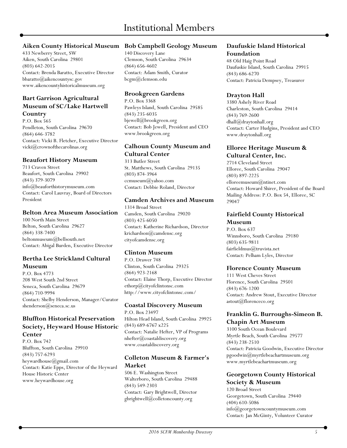# Institutional Members

#### **Aiken County Historical Museum**

433 Newberry Street, SW Aiken, South Carolina 29801 (803) 642-2015 Contact: Brenda Baratto, Executive Director bbaratto@aikencountysc.gov [www.aikencountyhistoricalmuseum.org](http://www.aikencountyhistoricalmuseum.org)

#### **Bart Garrison Agricultural Museum of SC/Lake Hartwell Country**

P.O. Box 565 Pendleton, South Carolina 29670 (864) 646-3782 Contact: Vicki B. Fletcher, Executive Director vicki@crownofthecarolinas.org

#### **Beaufort History Museum**

713 Craven Street Beaufort, South Carolina 29902 (843) 379-3079 info@beauforthistorymuseum.com Contact: Carol Lauvray, Board of Directors President

#### **Belton Area Museum Association**

100 North Main Street Belton, South Carolina 29627 (864) 338-7400 beltonmuseum@bellsouth.net Contact: Abigal Burden, Executive Director

# **Bertha Lee Strickland Cultural Museum**

P.O. Box 4773 208 West South 2nd Street Seneca, South Carolina 29679 (864) 710-9994 Contact: Shelby Henderson, Manager/Curator shenderson@seneca.sc.us

#### **Bluffton Historical Preservation Society, Heyward House Historic Center**

P.O. Box 742 Bluffton, South Carolina 29910 (843) 757-6293 heywardhouse@gmail.com Contact: Katie Epps, Director of the Heyward House Historic Center www.heywardhouse.org

#### **Bob Campbell Geology Museum**

140 Discovery Lane Clemson, South Carolina 29634 (864) 656-4602 Contact: Adam Smith, Curator bcgm@clemson.edu

#### **Brookgreen Gardens**

P.O. Box 3368 Pawleys Island, South Carolina 29585 (843) 235-6035 bjewell@brookgreen.org Contact: Bob Jewell, President and CEO www.brookgreen.org

# **Calhoun County Museum and Cultural Center**

313 Butler Street St. Matthews, South Carolina 29135 (803) 874-3964 ccmuseum@yahoo.com Contact: Debbie Roland, Director

#### **Camden Archives and Museum**

1314 Broad Street Camden, South Carolina 29020 (803) 425-6050 Contact: Katherine Richardson, Director krichardson@camdensc.org cityofcamdensc.org

# **Clinton Museum**

P.O. Drawer 748 Clinton, South Carolina 29325 (864) 923-2168 Contact: Elaine Thorp, Executive Director ethorp@cityofclintonsc.com http://www.cityofclintonsc.com/

#### **Coastal Discovery Museum**

P.O. Box 23497 Hilton Head Island, South Carolina 29925 (843) 689-6767 x225 Contact: Natalie Hefter, VP of Programs nhefter@coastaldiscovery.org www.coastaldiscovery.org

#### **Colleton Museum & Farmer's Market**

506 E. Washington Street Walterboro, South Carolina 29488 (843) 549-2303 Contact: Gary Brightwell, Director gbrightwell@colletoncounty.org

#### **Daufuskie Island Historical Foundation**

48 Old Haig Point Road Daufuskie Island, South Carolina 29915 (843) 686-6270 Contact: Patricia Dempsey, Treasurer

#### **Drayton Hall**

3380 Ashely River Road Charleston, South Carolina 29414 (843) 769-2600 dhall@draytonhall.org Contact: Carter Hudgins, President and CEO www.draytonhall.org

#### **Elloree Heritage Museum & Cultural Center, Inc.**

2714 Cleveland Street Elloree, South Carolina 29047 (803) 897-2225 elloreemuseum@ntinet.com Contact: Howard Shirer, President of the Board Mailing Address: P.O. Box 54, Elloree, SC 29047

#### **Fairfield County Historical Museum**

P.O. Box 637 Winnsboro, South Carolina 29180 (803) 635-9811 fairfieldmus@truvista.net Contact: Pelham Lyles, Director

#### **Florence County Museum**

111 West Cheves Street Florence, South Carolina 29501 (843) 676-1200 Contact: Andrew Stout, Executive Director astout@florenceco.org

# **Franklin G. Burroughs-Simeon B. Chapin Art Museum**

3100 South Ocean Boulevard Myrtle Beach, South Carolina 29577 (843) 238-2510 Contact: Patricia Goodwin, Executive Director pgoodwin@myrtlebeachartmuseum.org www.myrtlebeachartmuseum.org

#### **Georgetown County Historical Society & Museum**

120 Broad Street Georgetown, South Carolina 29440 (404) 610-5086 info@georgetowncountymuseum.com Contact: Jan McGinty, Volunteer Curator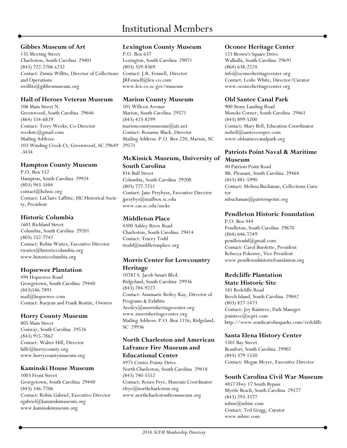#### **Gibbes Museum of Art**

135 Meeting Street Charleston, South Carolina 29401 (843) 722-2706 x232 Contact: Zinnia Willits, Director of Collections and Operations zwillits@gibbesmuseum.org

#### **Hall of Heroes Veteran Museum**

106 Main Street N. Greenwood, South Carolina 29646 (864) 554-6829 Contact: Terry Weeks, Co-Director weekstc@gmail.com Mailing Address: 103 Winding Creek Ct, Greenwood, SC 29649 -3434

# **Hampton County Museum**

P.O. Box 152 Hampton, South Carolina 29924 (803) 943-5484 contact@hchssc.org Contact: LaClaire Laffitte, HC Historical Society, President

# **Historic Columbia**

1601 Richland Street Columbia, South Carolina 29201 (803) 252-7742 Contact: Robin Waites, Executive Director rwaites@historiccolumbia.org www.historiccolumbia.org

#### **Hopsewee Plantation**

494 Hopsewee Road Georgetown, South Carolina 29440 (843)546-7891 mail@hopsewee.com Contact: Raejean and Frank Beattie, Owners

#### **Horry County Museum**

805 Main Street Conway, South Carolina 29526 (843) 915-7862 Contact: Walter Hill, Director hillr@horrycounty.org www.horrycountymuseum.org

# **Kaminski House Museum**

1003 Front Street Georgetown, South Carolina 29440 (843) 546-7706 Contact: Robin Gabriel, Executive Director rgabriel@kaminskimuseum.org www.kaminskimuseum.org

#### **Lexington County Museum**

P.O. Box 637 Lexington, South Carolina 29071 (803) 359-8369 Contact: J.R. Fennell, Director JRFennell@lex-co.com www.lex-co.sc.gov/museum

#### **Marion County Museum**

101 Willcox Avenue Marion, South Carolina 29571 (843) 423-8299 marioncountymuseum $@at$ .net Contact: Rosanne Black, Director Mailing Address: P.O. Box 220, Marion, SC 29571

# **McKissick Museum, University of South Carolina**

816 Bull Street Columbia, South Carolina 29208 (803) 777-7251 Contact: Jane Przybysz, Executive Director jprzybys@mailbox.sc.edu www.cas.sc.edu/mcks

# **Middleton Place**

4300 Ashley River Road Charleston, South Carolina 29414 Contact: Tracey Todd ttodd@middletonplace.org

#### **Morris Center for Lowcountry Heritage**

10782 S. Jacob Smart Blvd. Ridgeland, South Carolina 29936 (843) 284-9227 Contact: Annmarie Reiley-Kay, Director of Programs & Exhibits Areiley@morrisheritagecenter.org www.morrisheritagecenter.org Mailing Address: P.O. Box 1116, Ridgeland, SC 29936

# **North Charleston and American LaFrance Fire Museum and Educational Center**

4975 Centre Pointe Drive North Charleston, South Carolina 29418 (843) 740-5552 Contact: Renee Frye, Museum Coordinator rfrye@northcharleston.org www.northcharlestonfiremuseum.org

#### **Oconee Heritage Center**

123 Brown's Square Drive Walhalla, South Carolina 29691 (864) 638-2224 info@oconeeheritagecenter.org Contact: Leslie White, Director/Curator www.oconeeheritagecenter.org

# **Old Santee Canal Park**

900 Stony Landing Road Moncks Corner, South Carolina 29461 (843) 899-5200 Contact: Mary Bell, Education Coordinator msbell@santeecooper.com www.oldsanteecanalpark.org

# **Patriots Point Naval & Maritime Museum**

40 Patriots Point Road Mt. Pleasant, South Carolina 29464 (843) 881-5990 Contact: Melissa Buchanan, Collections Curator mbuchanan@patriotspoint.org

#### **Pendleton Historic Foundation**

P.O. Box 444 Pendleton, South Carolina 29670 (864) 646-7249 pendletonhf@gmail.com Contact: Carol Burdette, President Rebecca Pokorny, Vice President www.pendletonhistoricfoundation.org

#### **Redcliffe Plantation State Historic Site**

181 Redcliffe Road Beech Island, South Carolina 29842 (803) 827-1473 Contact: Joy Raintree, Park Manager jraintree@scprt.com http://www.southcarolinaparks.com/redcliffe

# **Santa Elena History Center**

1501 Bay Street Beaufort, South Carolina 29902 (843) 379-1550 Contact: Megan Meyer, Executive Director

# **South Carolina Civil War Museum**

4857 Hwy 17 South Bypass Myrtle Beach, South Carolina 29577 (843) 293-3377 mbisr@mbisr.com Contact: Ted Gragg, Curator www.mbisr.com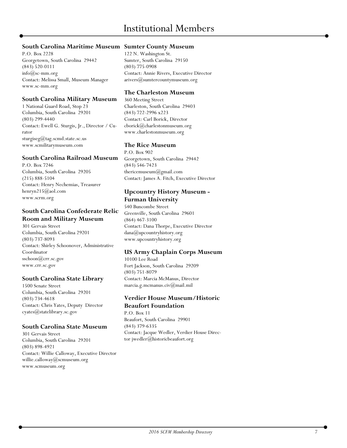# **South Carolina Maritime Museum Sumter County Museum**

P.O. Box 2228 Georgetown, South Carolina 29442 (843) 520-0111  $info@sc-mm.org$ Contact: Melissa Small, Museum Manager www.sc-mm.org

#### **South Carolina Military Museum**

1 National Guard Road, Stop 23 Columbia, South Carolina 29201 (803) 299-4440 Contact: Ewell G. Sturgis, Jr., Director / Curator sturgiseg@tag.scmd.state.sc.us www.scmilitarymuseum.com

#### **South Carolina Railroad Museum**

P.O. Box 7246 Columbia, South Carolina 29205 (215) 888-5104 Contact: Henry Nechemias, Treasurer henryn215@aol.com www.scrm.org

#### **South Carolina Confederate Relic Room and Military Museum**

301 Gervais Street Columbia, South Carolina 29201 [\(803\) 737-8093](tel:%28803%29%20737-8096) Contact: Shirley Schoonover, Administrative Coordinator sschoon@crr.sc.gov [www.crr.sc.gov](http://www.crr.sc.gov)

#### **South Carolina State Library**

1500 Senate Street Columbia, South Carolina 29201 (803) 734-4618 Contact: Chris Yates, Deputy Director cyates@statelibrary.sc.gov

#### **South Carolina State Museum**

301 Gervais Street Columbia, South Carolina 29201 (803) 898-4921 Contact: Willie Calloway, Executive Director willie.calloway@scmuseum.org www.scmuseum.org

122 N. Washington St. Sumter, South Carolina 29150 (803) 775-0908 Contact: Annie Rivers, Executive Director arivers@sumtercountymuseum.org

#### **The Charleston Museum**

360 Meeting Street Charleston, South Carolina 29403 (843) 722-2996 x223 Contact: Carl Borick, Director cborick@charlestonmuseum.org www.charlestonmuseum.org

#### **The Rice Museum**

P.O. Box 902 Georgetown, South Carolina 29442 (843) 546-7423 thericemuseum@gmail.com Contact: James A. Fitch, Executive Director

#### **Upcountry History Museum - Furman University**

540 Buncombe Street Greenville, South Carolina 29601 (864) 467-3100 Contact: Dana Thorpe, Executive Director dana@upcountryhistory.org www.upcountryhistory.org

#### **US Army Chaplain Corps Museum**

10100 Lee Road Fort Jackson, South Carolina 29209 (803) 751-8079 Contact: Marcia McManus, Director marcia.g.mcmanus.civ@mail.mil

# **Verdier House Museum/Historic**

**Beaufort Foundation** P.O. Box 11 Beaufort, South Carolina 29901 (843) 379-6335 Contact: Jacque Wedler, Verdier House Director jwedler@historicbeaufort.org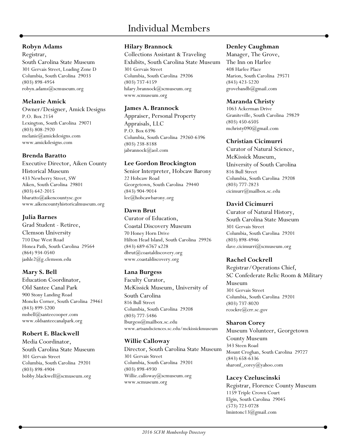#### **Robyn Adams**

Registrar, South Carolina State Museum 301 Gervais Street, Loading Zone D Columbia, South Carolina 29033 (803) 898-4954 robyn.adams@scmuseum.org

# **Melanie Amick**

Owner/Designer, Amick Designs P.O. Box 2154 Lexington, South Carolina 29071 (803) 808-2920 melanie@amickdesigns.com www.amickdesigns.com

# **Brenda Baratto**

Executive Director, Aiken County Historical Museum 433 Newberry Street, SW Aiken, South Carolina 29801 (803) 642-2015 [bbaratto@aikencountysc.gov](mailto:bbaratto@aikencountysc.gov) [www.aikencountyhistoricalmuseum.org](http://www.aikencountyhistoricalmuseum.org)

# **Julia Barnes**

Grad Student - Retiree, Clemson University 710 Due West Road Honea Path, South Carolina 29564 (864) 934-0540 jashle2@g.clemson.edu

# **Mary S. Bell**

Education Coordinator, Old Santee Canal Park 900 Stony Landing Road Moncks Corner, South Carolina 29461 (843) 899-5200 msbell@santeecooper.com www.oldsanteecanalpark.org

# **Robert E. Blackwell**

Media Coordinator, South Carolina State Museum 301 Gervais Street Columbia, South Carolina 29201 (803) 898-4904 bobby.blackwell@scmuseum.org

# **Hilary Brannock**

Collections Assistant & Traveling Exhibits, South Carolina State Museum 301 Gervais Street Columbia, South Carolina 29206 (803) 737-4159 hilary.brannock@scmuseum.org www.scmuseum.org

#### **James A. Brannock**

Appraiser, Personal Property Appraisals, LLC P.O. Box 6396 Columbia, South Carolina 29260-6396 (803) 238-8188 jabrannock@aol.com

# **Lee Gordon Brockington**

Senior Interpreter, Hobcaw Barony 22 Hobcaw Road Georgetown, South Carolina 29440 (843) 904-9014 lee@hobcawbarony.org

# **Dawn Brut**

Curator of Education, Coastal Discovery Museum 70 Honey Horn Drive Hilton Head Island, South Carolina 29926 (843) 689-6767 x228 dbrut@coastaldiscovery.org www.coastaldiscovery.org

# **Lana Burgess**

Faculty Curator, McKissick Museum, University of South Carolina 816 Bull Street Columbia, South Carolina 29208 (803) 777-5486 lburgess@mailbox.sc.edu www.artsandsciences.sc.edu/mckissickmuseum

# **Willie Calloway**

Director, South Carolina State Museum 301 Gervais Street Columbia, South Carolina 29201 (803) 898-4930 Willie.calloway@scmuseum.org www.scmuseum.org

# **Denley Caughman**

Manager, The Grove, The Inn on Harlee 408 Harlee Place Marion, South Carolina 29571 (843) 423-5220 grovebandb@gmail.com

# **Maranda Christy**

1063 Ackerman Drive Graniteville, South Carolina 29829 (803) 450-6505 mchristy090@gmail.com

#### **Christian Cicimurri**

Curator of Natural Science, McKissick Museum, University of South Carolina 816 Bull Street Columbia, South Carolina 29208 (803) 777-2823 cicimurr@mailbox.sc.edu

# **David Cicimurri**

Curator of Natural History, South Carolina State Museum 301 Gervais Street Columbia, South Carolina 29201 (803) 898-4946 dave.cicimurri@scmuseum.org

# **Rachel Cockrell**

Registrar/Operations Chief, SC Confederate Relic Room & Military Museum 301 Gervais Street Columbia, South Carolina 29201 (803) 737-8020 rcockre@crr.sc.gov

# **Sharon Corey**

Museum Volunteer, Georgetown County Museum 343 Steen Road Mount Croghan, South Carolina 29727 (843) 658-6336 sharonf\_corey@yahoo.com

# **Lacey Czeluscinski**

Registrar, Florence County Museum 1159 Triple Crown Court Elgin, South Carolina 29045 (573) 723-0728 lmintonc13@gmail.com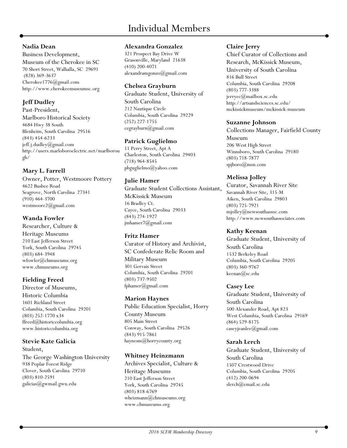# **Nadia Dean**

Business Development, Museum of the Cherokee in SC 70 Short Street, Walhalla, SC 29691 (828) 369-3637 Cherokee1776@gmail.com http://www.cherokeemuseumsc.org

# **Jeff Dudley**

Past-President, Marlboro Historical Society 4684 Hwy 38 South Blenheim, South Carolina 29516 (843) 454-6233 jeff.j.dudley@gmail.com http://users.marloboroelectric.net/marlborou gh/

# **Mary L. Farrell**

Owner, Potter, Westmoore Pottery 4622 Busbee Road Seagrove, North Carolina 27341 (910) 464-3700 westmoore2@gmail.com

# **Wanda Fowler**

Researcher, Culture & Heritage Museums 210 East Jefferson Street York, South Carolina 29745 (803) 684-3948 wfowler@chmuseums.org www.chmuseums.org

# **Fielding Freed**

Director of Museums, Historic Columbia 1601 Richland Street Columbia, South Carolina 29201 (803) 252-1770 x34 ffreed@historiccolumbia.org www.historiccolumbia.org

# **Stevie Kate Galicia**

Student, The George Washington University 938 Poplar Forest Ridge Clover, South Carolina 29710 (803) 810-2591 galicias@gwmail.gwu.edu

#### **Alexandra Gonzalez**

321 Prospect Bay Drive W Grasonville, Maryland 21638 (410) 200-4071 alexandramgonzo@gmail.com

# **Chelsea Grayburn**

Graduate Student, University of South Carolina 212 Nautique Circle Columbia, South Carolina 29229 (252) 227-1755 cegrayburn@gmail.com

# **Patrick Guglielmo**

11 Perry Street, Apt A Charleston, South Carolina 29403 (718) 964-8545 pbguglielmo@yahoo.com

# **Julie Hamer**

Graduate Student Collections Assistant, McKissick Museum 16 Bradley Ct. Cayce, South Carolina 29033 (843) 274-1927 jmhamer7@gmail.com

# **Fritz Hamer**

Curator of History and Archivist, SC Confederate Relic Room and Military Museum 301 Gervais Street Columbia, South Carolina 29201 (803) 737-9502 fphamer@gmail.com

# **Marion Haynes**

Public Education Specialist, Horry County Museum 805 Main Street Conway, South Carolina 29526 (843) 915-7861 haynesm@horrycounty.org

# **Whitney Heinzmann**

Archives Specialist, Culture & Heritage Museums 210 East Jefferson Street York, South Carolina 29745 (803) 818-6769 wheizmann@chmuseums.org www.chmuseums.org

#### **Claire Jerry**

Chief Curator of Collections and Research, McKissick Museum, University of South Carolina 816 Bull Street Columbia, South Carolina 29208 (803) 777-3388 jerryec@mailbox.sc.edu http://artsandsciences.sc.edu/ mckissickmuseum/mckissick-museum

#### **Suzanne Johnson**

Collections Manager, Fairfield County Museum 206 West High Street Winnsboro, South Carolina 29180 (803) 718-7877 spjboro@msn.com

# **Melissa Jolley**

Curator, Savannah River Site Savannah River Site, 315-M Aiken, South Carolina 29803 (803) 725-7921 mjolley@newsouthassoc.com http://www.newsouthassociates.com

# **Kathy Keenan**

Graduate Student, University of South Carolina 1532 Berkeley Road Columbia, South Carolina 29205 (803) 360-9767 keenan@sc.edu

# **Casey Lee**

Graduate Student, University of South Carolina 500 Alexander Road, Apt 823 West Columbia, South Carolina 29169 (864) 529-8175 caseyjeanlee@gmail.com

# **Sarah Lerch**

Graduate Student, University of South Carolina 1507 Crestwood Drive Columbia, South Carolina 29205 (412) 200-0694 slerch@email.sc.edu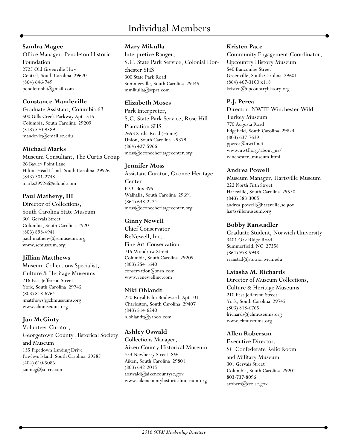# **Sandra Magee**

Office Manager, Pendleton Historic Foundation 2725 Old Greenville Hwy Central, South Carolina 29670 (864) 646-749 pendletonhf@gmail.com

# **Constance Mandeville**

Graduate Assistant, Columbia 63 500 Gills Creek Parkway Apt 1515 Columbia, South Carolina 29209 (518) 570-9589 mandevic@email.sc.edu

# **Michael Marks**

Museum Consultant, The Curtis Group 26 Bayley Point Lane Hilton Head Island, South Carolina 29926 (843) 301-2748 marks29926@icloud.com

# **Paul Matheny, III**

Director of Collections, South Carolina State Museum 301 Gervais Street Columbia, South Carolina 29201 (803) 898-4941 paul.matheny@scmuseum.org www.scmuseum.org

# **Jillian Matthews**

Museum Collections Specialist, Culture & Heritage Museums 216 East Jefferson Street York, South Carolina 29745 (803) 818-6764 jmatthews@chmuseums.org www.chmuseums.org

# **Jan McGinty**

Volunteer Curator, Georgetown County Historical Society and Museum 135 Pipedown Landing Drive Pawleys Island, South Carolina 29585 (404) 610-5086 janmcg@sc.rr.com

# **Mary Mikulla**

Interpretive Ranger, S.C. State Park Service, Colonial Dorchester SHS 300 State Park Road Summerville, South Carolina 29445 mmikulla@scprt.com

# **Elizabeth Moses**

Park Interpreter, S.C. State Park Service, Rose Hill Plantation SHS 2653 Sardis Road (Home) Union, South Carolina 29379 (864) 427-5966 moss@oconeeheritagecenter.org

# **Jennifer Moss**

Assistant Curator, Oconee Heritage Center P.O. Box 395 Walhalla, South Carolina 29691 (864) 638-2224 moss@oconeeheritagecenter.org

# **Ginny Newell**

Chief Conservator ReNewell, Inc. Fine Art Conservation 715 Woodrow Street Columbia, South Carolina 29205 (803) 254-1640 conservation@msn.com www.renewellinc.com

# **Niki Ohlandt**

220 Royal Palm Boulevard, Apt 101 Charleston, South Carolina 29407 (843) 814-6240 nlohlandt@yahoo.com

# **Ashley Oswald**

Collections Manager, Aiken County Historical Museum 433 Newberry Street, SW Aiken, South Carolina 29801 (803) 642-2015 aoswald@aikencountysc.gov [www.aikencountyhistoricalmuseum.org](http://www.aikencountyhistoricalmuseum.org)

# **Kristen Pace**

Community Engagement Coordinator, Upcountry History Museum 540 Buncombe Street Greenville, South Carolina 29601 (864) 467-3100 x118 kristen@upcountryhistory.org

# **P.J. Perea**

Director, NWTF Winchester Wild

Turkey Museum 770 Augusta Road Edgefield, South Carolina 29824 (803) 637-7639 pperea@nwtf.net www.nwtf.org/about\_us/ winchester\_museum.html

# **Andrea Powell**

Museum Manager, Hartsville Museum 222 North Fifth Street Hartsville, South Carolina 29550 (843) 383-3005 andrea.powell@hartsville.sc.gov hartsvillemuseum.org

# **Bobby Ranstadler**

Graduate Student, Norwich University 3401 Oak Ridge Road Summerfield, NC 27358 (864) 978-5948 rranstad@stu.norwich.edu

# **Latasha M. Richards**

Director of Museum Collections, Culture & Heritage Museums 210 East Jefferson Street York, South Carolina 29745 (803) 818-6765 lrichards@chmuseums.org www.chmuseums.org

# **Allen Roberson**

Executive Director, SC Confederate Relic Room and Military Museum 301 Gervais Street Columbia, South Carolina 29201 803-737-8096 arobers@crr.sc.gov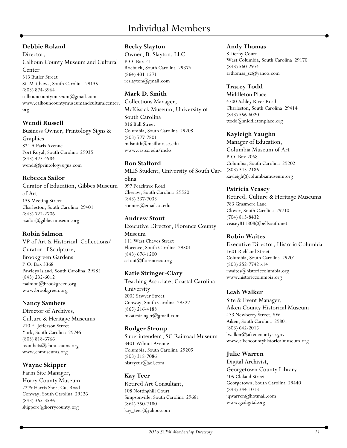# **Debbie Roland**

#### Director, Calhoun County Museum and Cultural Center 313 Butler Street St. Matthews, South Carolina 29135 (803) 874-3964 calhouncountymuseum@gmail.com www.calhouncountymuseumandculturalcenter. org

#### **Wendi Russell**

Business Owner, Printology Signs & Graphics 824 A Paris Avenue Port Royal, South Carolina 29935 (843) 473-4984 wendi@printologysigns.com

# **Rebecca Sailor**

Curator of Education, Gibbes Museum of Art 135 Meeting Street Charleston, South Carolina 29401 (843) 722-2706 rsailor@gibbesmuseum.org

# **Robin Salmon**

VP of Art & Historical Collections/ Curator of Sculpture, Brookgreen Gardens P.O. Box 3368 Pawleys Island, South Carolina 29585 (843) 235-6012 rsalmon@brookgreen.org www.brookgreen.org

# **Nancy Sambets**

Director of Archives, Culture & Heritage Museums 210 E. Jefferson Street York, South Carolina 29745 (803) 818-6766 nsambets@chmuseums.org www.chmuseums.org

# **Wayne Skipper**

Farm Site Manager, Horry County Museum 2279 Harris Short Cut Road Conway, South Carolina 29526 (843) 365-3596 skippere@horrycounty.org

# **Becky Slayton**

Owner, B. Slayton, LLC P.O. Box 21 Roebuck, South Carolina 29376 (864) 431-1571 reslayton@gmail.com

# **Mark D. Smith**

Collections Manager, McKissick Museum, University of South Carolina 816 Bull Street Columbia, South Carolina 29208 (803) 777-7801 mdsmith@mailbox.sc.edu www.cas.sc.edu/mcks

# **Ron Stafford**

MLIS Student, University of South Carolina 997 Peachtree Road Cheraw, South Carolina 29520 (843) 337-7033 ronnies@email.sc.edu

# **Andrew Stout**

Executive Director, Florence County Museum 111 West Cheves Street Florence, South Carolina 29501 (843) 676-1200 astout@florenceco.org

# **Katie Stringer-Clary**

Teaching Associate, Coastal Carolina University 2005 Sawyer Street Conway, South Carolina 29527 (865) 216-4188 mkatestringer@gmail.com

# **Rodger Stroup**

Superintendent, SC Railroad Museum 3401 Wilmot Avenue Columbia, South Carolina 29205 (803) 318-7086 histrycur@aol.com

#### **Kay Teer** Retired Art Consultant, 108 Nottinghill Court Simpsonville, South Carolina 29681 (864) 350-7180 kay\_teer@yahoo.com

#### **Andy Thomas**

8 Derby Court West Columbia, South Carolina 29170 (843) 560-2974 arthomas\_sc@yahoo.com

# **Tracey Todd**

Middleton Place 4300 Ashley River Road Charleston, South Carolina 29414 (843) 556-6020 ttodd@middletonplace.org

# **Kayleigh Vaughn**

Manager of Education, Columbia Museum of Art P.O. Box 2068 Columbia, South Carolina 29202 (803) 343-2186 kayleigh@columbiamuseum.org

# **Patricia Veasey**

Retired, Culture & Heritage Museums 783 Grasmere Lane Clover, South Carolina 29710 (704) 813-8432 veasey811808@bellsouth.net

# **Robin Waites**

Executive Director, Historic Columbia 1601 Richland Street Columbia, South Carolina 29201 (803) 252-7742 x14 rwaites@historiccolumbia.org www.historiccolumbia.org

# **Leah Walker**

Site & Event Manager, Aiken County Historical Museum 433 Newberry Street, SW Aiken, South Carolina 29801 (803) 642-2015 [lwalker@aikencountysc.gov](mailto:lwalker@aikencountysc.gov) [www.aikencountyhistoricalmuseum.org](http://www.aikencountyhistoricalmuseum.org)

# **Julie Warren**

Digital Archivist, Georgetown County Library 405 Cleland Street Georgetown, South Carolina 29440 (843) 344-1013 jqwarren@hotmail.com www.gcdigital.org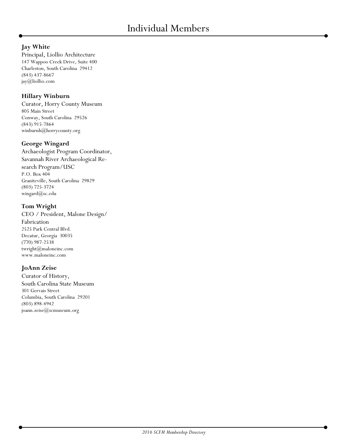# **Jay White**

Principal, Liollio Architecture 147 Wappoo Creek Drive, Suite 400 Charleston, South Carolina 29412 (843) 437-8667 jay@liollio.com

# **Hillary Winburn**

Curator, Horry County Museum 805 Main Street Conway, South Carolina 29526 (843) 915-7864 winburnh@horrycounty.org

# **George Wingard**

Archaeologist Program Coordinator, Savannah River Archaeological Research Program/USC P.O. Box 404 Graniteville, South Carolina 29829 (803) 725-3724 wingard@sc.edu

#### **Tom Wright**

CEO / President, Malone Design/ Fabrication 2525 Park Central Blvd. Decatur, Georgia 30035 (770) 987-2538 twright@maloneinc.com www.maloneinc.com

# **JoAnn Zeise**

Curator of History, South Carolina State Museum 301 Gervais Street Columbia, South Carolina 29201 (803) 898-4942 joann.zeise@scmuseum.org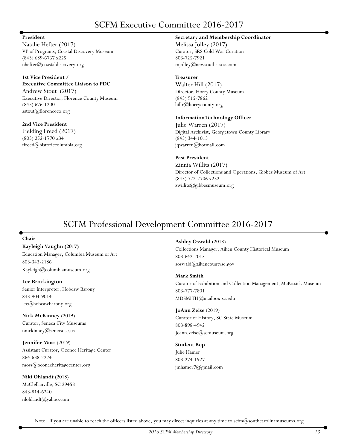# SCFM Executive Committee 2016-2017

#### **President**

Natalie Hefter (2017) VP of Programs, Coastal Discovery Museum (843) 689-6767 x225 nhefter@coastaldiscovery.org

#### **1st Vice President / Executive Committee Liaison to PDC**

Andrew Stout (2017) Executive Director, Florence County Museum (843) 676-1200 astout@florenceco.org

**2nd Vice President** Fielding Freed (2017) (803) 252-1770 x34 ffreed@historiccolumbia.org

#### **Secretary and Membership Coordinator**

Melissa Jolley (2017) Curator, SRS Cold War Curation 803-725-7921 mjolley@newsouthassoc.com

#### **Treasurer**

Walter Hill (2017) Director, Horry County Museum (843) 915-7862 hillr@horrycounty.org

#### **Information Technology Officer**

Julie Warren (2017) Digital Archivist, Georgetown County Library (843) 344-1013 jqwarren@hotmail.com

#### **Past President**

Zinnia Willits (2017) Director of Collections and Operations, Gibbes Museum of Art (843) 722-2706 x232 zwillits@gibbesmuseum.org

# SCFM Professional Development Committee 2016-2017

#### **Chair**

**Kayleigh Vaughn (2017)**

Education Manager, Columbia Museum of Art 803-343-2186 Kayleigh@columbiamuseum.org

**Lee Brockington** Senior Interpreter, Hobcaw Barony 843-904-9014 lee@hobcawbarony.org

**Nick McKinney** (2019) Curator, Seneca City Museums nmckinney@seneca.sc.us

**Jennifer Moss** (2019) Assistant Curator, Oconee Heritage Center 864-638-2224 moss@oconeeheritagecenter.org

**Niki Ohlandt** (2018) McClellanville, SC 29458 843-814-6240 nlohlandt@yahoo.com

**Ashley Oswald** (2018) Collections Manager, Aiken County Historical Museum 803-642-2015 aoswald@aikencountysc.gov

#### **Mark Smith**

Curator of Exhibition and Collection Management, McKissick Museum 803-777-7801 MDSMITH@mailbox.sc.edu

**JoAnn Zeise** (2019) Curator of History, SC State Museum 803-898-4942 Joann.zeise@scmuseum.org

#### **Student Rep**

Julie Hamer 803-274-1927 jmhamer7@gmail.com

Note: If you are unable to reach the officers listed above, you may direct inquiries at any time to  $\text{scfm}(Q)\text{southcarolinamuseums.}$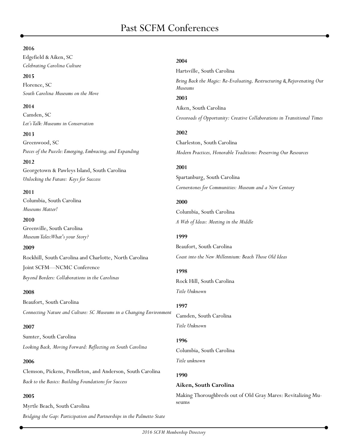#### **2016**

Edgefield & Aiken, SC *Celebrating Carolina Culture*

**2015** Florence, SC *South Carolina Museums on the Move*

#### **2014**

Camden, SC *Let's Talk: Museums in Conservation*

**2013** Greenwood, SC *Pieces of the Puzzle: Emerging, Embracing, and Expanding*

**2012**

Georgetown & Pawleys Island, South Carolina *Unlocking the Future: Keys for Success*

#### **2011**

Columbia, South Carolina *Museums Matter!*

**2010** Greenville, South Carolina *Museum Tales: What's your Story?*

#### **2009**

Rockhill, South Carolina and Charlotte, North Carolina Joint SCFM—NCMC Conference *Beyond Borders: Collaborations in the Carolinas*

#### **2008**

Beaufort, South Carolina *Connecting Nature and Culture: SC Museums in a Changing Environment*

#### **2007**

Sumter, South Carolina *Looking Back, Moving Forward: Reflecting on South Carolina*

#### **2006**

Clemson, Pickens, Pendleton, and Anderson, South Carolina *Back to the Basics: Building Foundations for Success*

#### **2005**

Myrtle Beach, South Carolina *Bridging the Gap: Participation and Partnerships in the Palmetto State*

#### **2004**

Hartsville, South Carolina *Bring Back the Magic: Re-Evaluating, Restructuring & Rejuvenating Our Museums* **2003** Aiken, South Carolina *Crossroads of Opportunity: Creative Collaborations in Transitional Times* **2002** Charleston, South Carolina

*Modern Practices, Honorable Traditions: Preserving Our Resources*

#### **2001**

Spartanburg, South Carolina *Cornerstones for Communities: Museum and a New Century*

#### **2000**

Columbia, South Carolina *A Web of Ideas: Meeting in the Middle*

#### **1999**

Beaufort, South Carolina *Coast into the New Millennium: Beach Those Old Ideas*

#### **1998**

Rock Hill, South Carolina *Title Unknown*

#### **1997**

Camden, South Carolina *Title Unknown*

#### **1996**

Columbia, South Carolina *Title unknown*

#### **1990**

#### **Aiken, South Carolina**

Making Thoroughbreds out of Old Gray Mares: Revitalizing Museums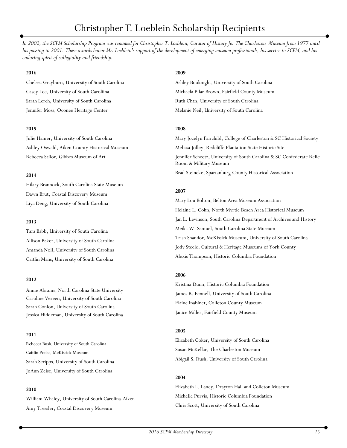# Christopher T. Loeblein Scholarship Recipients

*In 2002, the SCFM Scholarship Program was renamed for Christopher T. Loeblein, Curator of History for The Charleston Museum from 1977 until his passing in 2001. These awards honor Mr. Loeblein's support of the development of emerging museum professionals, his service to SCFM, and his enduring spirit of collegiality and friendship.* 

#### **2016**

Chelsea Grayburn, University of South Carolina Casey Lee, University of South Caroliina Sarah Lerch, University of South Carolina Jennifer Moss, Oconee Heritage Center

#### **2015**

Julie Hamer, University of South Carolina Ashley Oswald, Aiken County Historical Museum Rebecca Sailor, Gibbes Museum of Art

#### **2014**

Hilary Brannock, South Carolina State Museum Dawn Brut, Coastal Discovery Museum Liya Deng, University of South Carolina

#### **2013**

Tara Babb, University of South Carolina Allison Baker, University of South Carolina Amanda Noll, University of South Carolina Caitlin Mans, University of South Carolina

#### **2012**

Annie Abrams, North Carolina State University Caroline Vereen, University of South Carolina Sarah Conlon, University of South Carolina Jessica Hiddeman, University of South Carolina

#### **2011**

Rebecca Bush, University of South Carolina Caitlin Podas, McKissick Museum Sarah Scripps, University of South Carolina JoAnn Zeise, University of South Carolina

#### **2010**

William Whaley, University of South Carolina-Aiken Amy Tressler, Coastal Discovery Museum

#### **2009**

Ashley Bouknight, University of South Carolina Michaela Pilar Brown, Fairfield County Museum Ruth Chan, University of South Carolina Melanie Neil, University of South Carolina

#### **2008**

Mary Jocelyn Fairchild, College of Charleston & SC Historical Society Melissa Jolley, Redcliffe Plantation State Historic Site Jennifer Scheetz, University of South Carolina & SC Confederate Relic Room & Military Museum Brad Steineke, Spartanburg County Historical Association

#### **2007**

Mary Lou Bolton, Belton Area Museum Association Helaine L. Cohn, North Myrtle Beach Area Historical Museum Jan L. Levinson, South Carolina Department of Archives and History Meika W. Samuel, South Carolina State Museum Trish Shandor, McKissick Museum, University of South Carolina Jody Steele, Cultural & Heritage Museums of York County Alexis Thompson, Historic Columbia Foundation

#### **2006**

Kristina Dunn, Historic Columbia Foundation James R. Fennell, University of South Carolina Elaine Inabinet, Colleton County Museum Janice Miller, Fairfield County Museum

#### **2005**

Elizabeth Coker, University of South Carolina Susan McKellar, The Charleston Museum Abigail S. Rush, University of South Carolina

#### **2004**

Elizabeth L. Laney, Drayton Hall and Colleton Museum Michelle Purvis, Historic Columbia Foundation Chris Scott, University of South Carolina